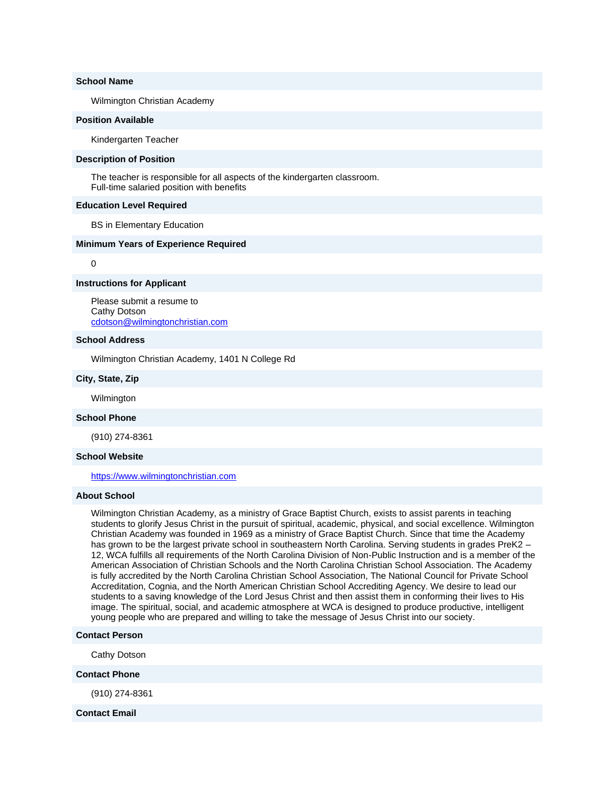### **School Name**

Wilmington Christian Academy

#### **Position Available**

Kindergarten Teacher

#### **Description of Position**

The teacher is responsible for all aspects of the kindergarten classroom. Full-time salaried position with benefits

#### **Education Level Required**

BS in Elementary Education

### **Minimum Years of Experience Required**

0

#### **Instructions for Applicant**

Please submit a resume to Cathy Dotson [cdotson@wilmingtonchristian.com](mailto:cdotson@wilmingtonchristian.com)

# **School Address**

Wilmington Christian Academy, 1401 N College Rd

### **City, State, Zip**

Wilmington

# **School Phone**

(910) 274-8361

#### **School Website**

[https://www.wilmingtonchristian.com](http://email.nacschools-org.nsmail1.com/c/eJxVzTsOwyAQANHT2F3Q8oeCwk3ugTE2K2GIDBLXD0oXaeo3hxNW8RBXdAzYjAJwqgQQDVwcwRiwu9JG6EVA8aGFVGtur_pcpLTbY6Yk1HtNTlomJfXaK7DWqJ2ZyNm0jIz6jFSu2aXeP23h28LeszEGGZhvLFevJaQHW0dfftzjsJz1b0nm8gvRLTWE)

# **About School**

Wilmington Christian Academy, as a ministry of Grace Baptist Church, exists to assist parents in teaching students to glorify Jesus Christ in the pursuit of spiritual, academic, physical, and social excellence. Wilmington Christian Academy was founded in 1969 as a ministry of Grace Baptist Church. Since that time the Academy has grown to be the largest private school in southeastern North Carolina. Serving students in grades PreK2 – 12, WCA fulfills all requirements of the North Carolina Division of Non-Public Instruction and is a member of the American Association of Christian Schools and the North Carolina Christian School Association. The Academy is fully accredited by the North Carolina Christian School Association, The National Council for Private School Accreditation, Cognia, and the North American Christian School Accrediting Agency. We desire to lead our students to a saving knowledge of the Lord Jesus Christ and then assist them in conforming their lives to His image. The spiritual, social, and academic atmosphere at WCA is designed to produce productive, intelligent young people who are prepared and willing to take the message of Jesus Christ into our society.

## **Contact Person**

Cathy Dotson

### **Contact Phone**

(910) 274-8361

#### **Contact Email**